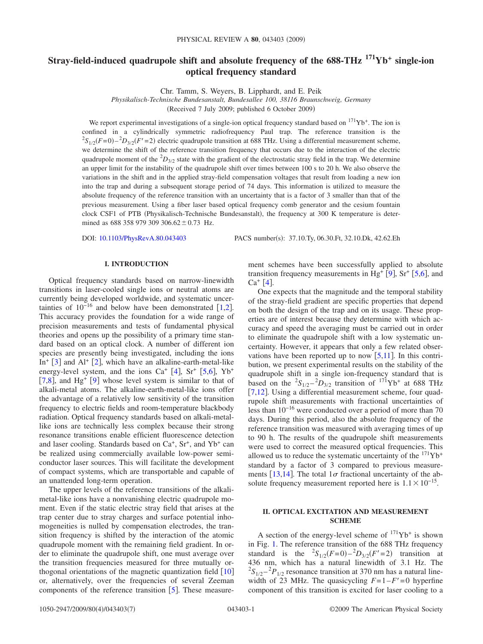# **Stray-field-induced quadrupole shift and absolute frequency of the 688-THz 171Yb+ single-ion optical frequency standard**

Chr. Tamm, S. Weyers, B. Lipphardt, and E. Peik

*Physikalisch-Technische Bundesanstalt, Bundesallee 100, 38116 Braunschweig, Germany*

(Received 7 July 2009; published 6 October 2009)

We report experimental investigations of a single-ion optical frequency standard based on  $^{171}Yb^+$ . The ion is confined in a cylindrically symmetric radiofrequency Paul trap. The reference transition is the  ${}^{2}S_{1/2}(F=0) - {}^{2}D_{3/2}(F'=2)$  electric quadrupole transition at 688 THz. Using a differential measurement scheme, we determine the shift of the reference transition frequency that occurs due to the interaction of the electric quadrupole moment of the <sup>2</sup>D<sub>3/2</sub> state with the gradient of the electrostatic stray field in the trap. We determine an upper limit for the instability of the quadrupole shift over times between 100 s to 20 h. We also observe the variations in the shift and in the applied stray-field compensation voltages that result from loading a new ion into the trap and during a subsequent storage period of 74 days. This information is utilized to measure the absolute frequency of the reference transition with an uncertainty that is a factor of 3 smaller than that of the previous measurement. Using a fiber laser based optical frequency comb generator and the cesium fountain clock CSF1 of PTB (Physikalisch-Technische Bundesanstalt), the frequency at 300 K temperature is determined as 688 358 979 309 306.62  $\pm$  0.73 Hz.

DOI: [10.1103/PhysRevA.80.043403](http://dx.doi.org/10.1103/PhysRevA.80.043403)

PACS number(s): 37.10.Ty, 06.30.Ft, 32.10.Dk, 42.62.Eh

# **I. INTRODUCTION**

Optical frequency standards based on narrow-linewidth transitions in laser-cooled single ions or neutral atoms are currently being developed worldwide, and systematic uncertainties of  $10^{-16}$  and below have been demonstrated [[1,](#page-6-0)[2](#page-6-1)]. This accuracy provides the foundation for a wide range of precision measurements and tests of fundamental physical theories and opens up the possibility of a primary time standard based on an optical clock. A number of different ion species are presently being investigated, including the ions In<sup>+</sup>  $[3]$  $[3]$  $[3]$  and Al<sup>+</sup>  $[2]$  $[2]$  $[2]$ , which have an alkaline-earth-metal-like energy-level system, and the ions  $Ca^+$  [[4](#page-6-3)],  $Sr^+$  [[5,](#page-6-4)[6](#page-6-5)],  $Yb^+$ [[7](#page-6-6)[,8](#page-6-7)], and Hg<sup>+</sup> [[9](#page-6-8)] whose level system is similar to that of alkali-metal atoms. The alkaline-earth-metal-like ions offer the advantage of a relatively low sensitivity of the transition frequency to electric fields and room-temperature blackbody radiation. Optical frequency standards based on alkali-metallike ions are technically less complex because their strong resonance transitions enable efficient fluorescence detection and laser cooling. Standards based on  $Ca<sup>+</sup>$ ,  $Sr<sup>+</sup>$ , and  $Yb<sup>+</sup>$  can be realized using commercially available low-power semiconductor laser sources. This will facilitate the development of compact systems, which are transportable and capable of an unattended long-term operation.

The upper levels of the reference transitions of the alkalimetal-like ions have a nonvanishing electric quadrupole moment. Even if the static electric stray field that arises at the trap center due to stray charges and surface potential inhomogeneities is nulled by compensation electrodes, the transition frequency is shifted by the interaction of the atomic quadrupole moment with the remaining field gradient. In order to eliminate the quadrupole shift, one must average over the transition frequencies measured for three mutually orthogonal orientations of the magnetic quantization field  $\lceil 10 \rceil$  $\lceil 10 \rceil$  $\lceil 10 \rceil$ or, alternatively, over the frequencies of several Zeeman components of the reference transition  $\lceil 5 \rceil$  $\lceil 5 \rceil$  $\lceil 5 \rceil$ . These measurement schemes have been successfully applied to absolute transition frequency measurements in Hg<sup>+</sup> [[9](#page-6-8)], Sr<sup>+</sup> [[5,](#page-6-4)[6](#page-6-5)], and  $Ca<sup>+</sup> [4]$  $Ca<sup>+</sup> [4]$  $Ca<sup>+</sup> [4]$ .

One expects that the magnitude and the temporal stability of the stray-field gradient are specific properties that depend on both the design of the trap and on its usage. These properties are of interest because they determine with which accuracy and speed the averaging must be carried out in order to eliminate the quadrupole shift with a low systematic uncertainty. However, it appears that only a few related observations have been reported up to now  $[5,11]$  $[5,11]$  $[5,11]$  $[5,11]$ . In this contribution, we present experimental results on the stability of the quadrupole shift in a single ion-frequency standard that is based on the  ${}^{2}S_{1/2} - {}^{2}D_{3/2}$  transition of  ${}^{171}Yb^{+}$  at 688 THz [ $7,12$  $7,12$ ]. Using a differential measurement scheme, four quadrupole shift measurements with fractional uncertainties of less than 10−16 were conducted over a period of more than 70 days. During this period, also the absolute frequency of the reference transition was measured with averaging times of up to 90 h. The results of the quadrupole shift measurements were used to correct the measured optical frequencies. This allowed us to reduce the systematic uncertainty of the  $171\text{Yb}^+$ standard by a factor of 3 compared to previous measure-ments [[13](#page-6-12)[,14](#page-6-13)]. The total  $1\sigma$  fractional uncertainty of the absolute frequency measurement reported here is  $1.1 \times 10^{-15}$ .

# **II. OPTICAL EXCITATION AND MEASUREMENT SCHEME**

A section of the energy-level scheme of  $^{171}Yb^+$  is shown in Fig. [1.](#page-1-0) The reference transition of the 688 THz frequency standard is the  ${}^{2}S_{1/2}(F=0) - {}^{2}D_{3/2}(F'=2)$  transition at 436 nm, which has a natural linewidth of 3.1 Hz. The  ${}^{2}S_{1/2} - {}^{2}P_{1/2}$  resonance transition at 370 nm has a natural linewidth of 23 MHz. The quasicycling  $F=1-F'=0$  hyperfine component of this transition is excited for laser cooling to a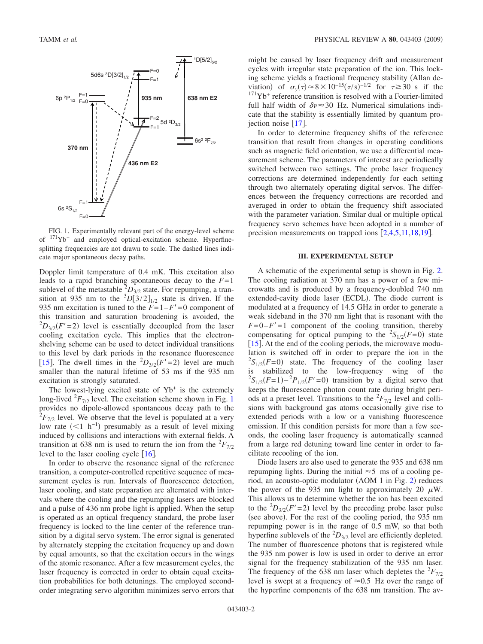<span id="page-1-0"></span>

FIG. 1. Experimentally relevant part of the energy-level scheme of  $171Yb$ <sup>+</sup> and employed optical-excitation scheme. Hyperfinesplitting frequencies are not drawn to scale. The dashed lines indicate major spontaneous decay paths.

Doppler limit temperature of 0.4 mK. This excitation also leads to a rapid branching spontaneous decay to the *F*= 1 sublevel of the metastable  ${}^{2}D_{3/2}$  state. For repumping, a transition at 935 nm to the  ${}^{3}D[3/2]_{1/2}$  state is driven. If the 935 nm excitation is tuned to the  $F=1-F'=0$  component of this transition and saturation broadening is avoided, the  ${}^{2}D_{3/2}(F'=2)$  level is essentially decoupled from the laser cooling excitation cycle. This implies that the electronshelving scheme can be used to detect individual transitions to this level by dark periods in the resonance fluorescence [[15](#page-6-14)]. The dwell times in the  ${}^{2}D_{3/2}(F'=2)$  level are much smaller than the natural lifetime of 53 ms if the 935 nm excitation is strongly saturated.

The lowest-lying excited state of  $Yb<sup>+</sup>$  is the extremely long-lived  ${}^{2}F_{7/2}$  level. The excitation scheme shown in Fig. [1](#page-1-0) provides no dipole-allowed spontaneous decay path to the  ${}^{2}F_{7/2}$  level. We observe that the level is populated at a very low rate  $(<1$  h<sup>-1</sup>) presumably as a result of level mixing induced by collisions and interactions with external fields. A transition at 638 nm is used to return the ion from the  ${}^{2}F_{7/2}$ level to the laser cooling cycle  $[16]$  $[16]$  $[16]$ .

In order to observe the resonance signal of the reference transition, a computer-controlled repetitive sequence of measurement cycles is run. Intervals of fluorescence detection, laser cooling, and state preparation are alternated with intervals where the cooling and the repumping lasers are blocked and a pulse of 436 nm probe light is applied. When the setup is operated as an optical frequency standard, the probe laser frequency is locked to the line center of the reference transition by a digital servo system. The error signal is generated by alternately stepping the excitation frequency up and down by equal amounts, so that the excitation occurs in the wings of the atomic resonance. After a few measurement cycles, the laser frequency is corrected in order to obtain equal excitation probabilities for both detunings. The employed secondorder integrating servo algorithm minimizes servo errors that might be caused by laser frequency drift and measurement cycles with irregular state preparation of the ion. This locking scheme yields a fractional frequency stability (Allan deviation) of  $\sigma_y(\tau) \approx 8 \times 10^{-15} (\tau/s)^{-1/2}$  for  $\tau \ge 30$  s if the  $171\text{Yb}^+$  reference transition is resolved with a Fourier-limited full half width of  $\delta v \approx 30$  Hz. Numerical simulations indicate that the stability is essentially limited by quantum projection noise  $[17]$  $[17]$  $[17]$ .

In order to determine frequency shifts of the reference transition that result from changes in operating conditions such as magnetic field orientation, we use a differential measurement scheme. The parameters of interest are periodically switched between two settings. The probe laser frequency corrections are determined independently for each setting through two alternately operating digital servos. The differences between the frequency corrections are recorded and averaged in order to obtain the frequency shift associated with the parameter variation. Similar dual or multiple optical frequency servo schemes have been adopted in a number of precision measurements on trapped ions  $[2,4,5,11,18,19]$  $[2,4,5,11,18,19]$  $[2,4,5,11,18,19]$  $[2,4,5,11,18,19]$  $[2,4,5,11,18,19]$  $[2,4,5,11,18,19]$  $[2,4,5,11,18,19]$  $[2,4,5,11,18,19]$ .

## **III. EXPERIMENTAL SETUP**

A schematic of the experimental setup is shown in Fig. [2.](#page-2-0) The cooling radiation at 370 nm has a power of a few microwatts and is produced by a frequency-doubled 740 nm extended-cavity diode laser (ECDL). The diode current is modulated at a frequency of 14.5 GHz in order to generate a weak sideband in the 370 nm light that is resonant with the  $F=0-F'=1$  component of the cooling transition, thereby compensating for optical pumping to the  ${}^{2}S_{1/2}(F=0)$  state [[15](#page-6-14)]. At the end of the cooling periods, the microwave modulation is switched off in order to prepare the ion in the  ${}^{2}S_{1/2}(F=0)$  state. The frequency of the cooling laser is stabilized to the low-frequency wing of the  ${}^{2}S_{1/2}(F=1) - {}^{2}P_{1/2}(F'=0)$  transition by a digital servo that keeps the fluorescence photon count rate during bright periods at a preset level. Transitions to the  ${}^{2}F_{7/2}$  level and collisions with background gas atoms occasionally give rise to extended periods with a low or a vanishing fluorescence emission. If this condition persists for more than a few seconds, the cooling laser frequency is automatically scanned from a large red detuning toward line center in order to facilitate recooling of the ion.

Diode lasers are also used to generate the 935 and 638 nm repumping lights. During the initial  $\approx$  5 ms of a cooling pe-riod, an acousto-optic modulator (AOM 1 in Fig. [2](#page-2-0)) reduces the power of the 935 nm light to approximately 20  $\mu$ W. This allows us to determine whether the ion has been excited to the  ${}^{2}D_{3/2}(F'=2)$  level by the preceding probe laser pulse (see above). For the rest of the cooling period, the 935 nm repumping power is in the range of 0.5 mW, so that both hyperfine sublevels of the  ${}^{2}D_{3/2}$  level are efficiently depleted. The number of fluorescence photons that is registered while the 935 nm power is low is used in order to derive an error signal for the frequency stabilization of the 935 nm laser. The frequency of the 638 nm laser which depletes the  ${}^{2}F_{7/2}$ level is swept at a frequency of  $\approx 0.5$  Hz over the range of the hyperfine components of the 638 nm transition. The av-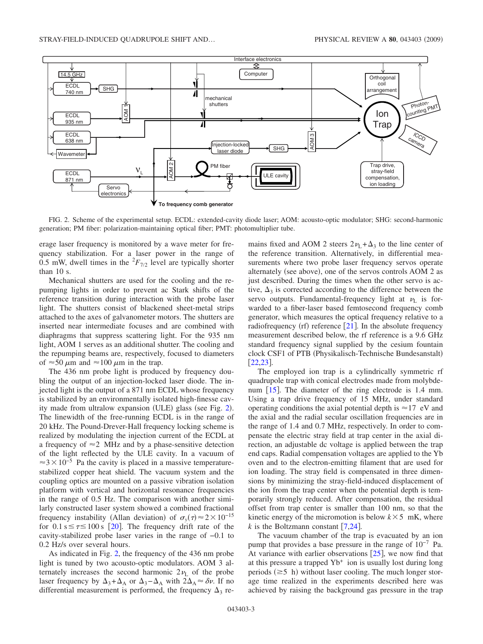<span id="page-2-0"></span>

FIG. 2. Scheme of the experimental setup. ECDL: extended-cavity diode laser; AOM: acousto-optic modulator; SHG: second-harmonic generation; PM fiber: polarization-maintaining optical fiber; PMT: photomultiplier tube.

erage laser frequency is monitored by a wave meter for frequency stabilization. For a laser power in the range of 0.5 mW, dwell times in the  ${}^{2}F_{7/2}$  level are typically shorter than 10 s.

Mechanical shutters are used for the cooling and the repumping lights in order to prevent ac Stark shifts of the reference transition during interaction with the probe laser light. The shutters consist of blackened sheet-metal strips attached to the axes of galvanometer motors. The shutters are inserted near intermediate focuses and are combined with diaphragms that suppress scattering light. For the 935 nm light, AOM 1 serves as an additional shutter. The cooling and the repumping beams are, respectively, focused to diameters of  $\approx$  50  $\mu$ m and  $\approx$  100  $\mu$ m in the trap.

The 436 nm probe light is produced by frequency doubling the output of an injection-locked laser diode. The injected light is the output of a 871 nm ECDL whose frequency is stabilized by an environmentally isolated high-finesse cav-ity made from ultralow expansion (ULE) glass (see Fig. [2](#page-2-0)). The linewidth of the free-running ECDL is in the range of 20 kHz. The Pound-Drever-Hall frequency locking scheme is realized by modulating the injection current of the ECDL at a frequency of  $\approx$  2 MHz and by a phase-sensitive detection of the light reflected by the ULE cavity. In a vacuum of  $\approx$ 3×10<sup>-5</sup> Pa the cavity is placed in a massive temperaturestabilized copper heat shield. The vacuum system and the coupling optics are mounted on a passive vibration isolation platform with vertical and horizontal resonance frequencies in the range of 0.5 Hz. The comparison with another similarly constructed laser system showed a combined fractional frequency instability (Allan deviation) of  $\sigma_y(\tau) \approx 2 \times 10^{-15}$ for  $0.1 s \le \tau \le 100 s$  [[20](#page-6-19)]. The frequency drift rate of the cavity-stabilized probe laser varies in the range of −0.1 to 0.2 Hz/s over several hours.

As indicated in Fig. [2,](#page-2-0) the frequency of the 436 nm probe light is tuned by two acousto-optic modulators. AOM 3 alternately increases the second harmonic  $2\nu$ <sub>L</sub> of the probe laser frequency by  $\Delta_3 + \Delta_A$  or  $\Delta_3 - \Delta_A$  with  $2\Delta_A \approx \delta \nu$ . If no differential measurement is performed, the frequency  $\Delta_3$  remains fixed and AOM 2 steers  $2\nu_L + \Delta_3$  to the line center of the reference transition. Alternatively, in differential measurements where two probe laser frequency servos operate alternately (see above), one of the servos controls AOM 2 as just described. During the times when the other servo is active,  $\Delta_3$  is corrected according to the difference between the servo outputs. Fundamental-frequency light at  $\nu_L$  is forwarded to a fiber-laser based femtosecond frequency comb generator, which measures the optical frequency relative to a radiofrequency (rf) reference  $[21]$  $[21]$  $[21]$ . In the absolute frequency measurement described below, the rf reference is a 9.6 GHz standard frequency signal supplied by the cesium fountain clock CSF1 of PTB (Physikalisch-Technische Bundesanstalt)  $\left[22,23\right]$  $\left[22,23\right]$  $\left[22,23\right]$  $\left[22,23\right]$ .

The employed ion trap is a cylindrically symmetric rf quadrupole trap with conical electrodes made from molybdenum  $[15]$  $[15]$  $[15]$ . The diameter of the ring electrode is 1.4 mm. Using a trap drive frequency of 15 MHz, under standard operating conditions the axial potential depth is  $\approx$  17 eV and the axial and the radial secular oscillation frequencies are in the range of 1.4 and 0.7 MHz, respectively. In order to compensate the electric stray field at trap center in the axial direction, an adjustable dc voltage is applied between the trap end caps. Radial compensation voltages are applied to the Yb oven and to the electron-emitting filament that are used for ion loading. The stray field is compensated in three dimensions by minimizing the stray-field-induced displacement of the ion from the trap center when the potential depth is temporarily strongly reduced. After compensation, the residual offset from trap center is smaller than 100 nm, so that the kinetic energy of the micromotion is below  $k \times 5$  mK, where *k* is the Boltzmann constant  $[7,24]$  $[7,24]$  $[7,24]$  $[7,24]$ .

The vacuum chamber of the trap is evacuated by an ion pump that provides a base pressure in the range of 10−7 Pa. At variance with earlier observations  $[25]$  $[25]$  $[25]$ , we now find that at this pressure a trapped  $Yb<sup>+</sup>$  ion is usually lost during long periods  $(\geq 5 \text{ h})$  without laser cooling. The much longer storage time realized in the experiments described here was achieved by raising the background gas pressure in the trap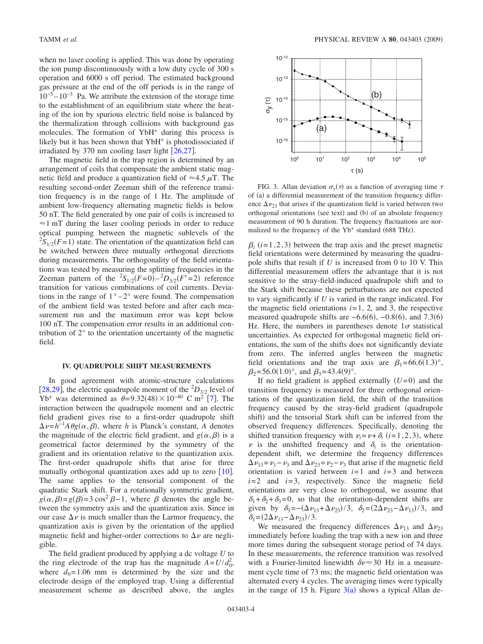when no laser cooling is applied. This was done by operating the ion pump discontinuously with a low duty cycle of 300 s operation and 6000 s off period. The estimated background gas pressure at the end of the off periods is in the range of  $10^{-5} - 10^{-3}$  Pa. We attribute the extension of the storage time to the establishment of an equilibrium state where the heating of the ion by spurious electric field noise is balanced by the thermalization through collisions with background gas molecules. The formation of YbH<sup>+</sup> during this process is likely but it has been shown that YbH<sup>+</sup> is photodissociated if irradiated by 370 nm cooling laser light  $[26,27]$  $[26,27]$  $[26,27]$  $[26,27]$ .

The magnetic field in the trap region is determined by an arrangement of coils that compensate the ambient static magnetic field and produce a quantization field of  $\approx 4.5 \mu T$ . The resulting second-order Zeeman shift of the reference transition frequency is in the range of 1 Hz. The amplitude of ambient low-frequency alternating magnetic fields is below 50 nT. The field generated by one pair of coils is increased to  $\approx$ 1 mT during the laser cooling periods in order to reduce optical pumping between the magnetic sublevels of the  ${}^{2}S_{1/2}(F=1)$  state. The orientation of the quantization field can be switched between three mutually orthogonal directions during measurements. The orthogonality of the field orientations was tested by measuring the splitting frequencies in the Zeeman pattern of the  ${}^{2}S_{1/2}(F=0) - {}^{2}D_{3/2}(F'=2)$  reference transition for various combinations of coil currents. Deviations in the range of  $1^\circ - 2^\circ$  were found. The compensation of the ambient field was tested before and after each measurement run and the maximum error was kept below 100 nT. The compensation error results in an additional contribution of 2° to the orientation uncertainty of the magnetic field.

### **IV. QUADRUPOLE SHIFT MEASUREMENTS**

In good agreement with atomic-structure calculations [[28](#page-6-27)[,29](#page-6-28)], the electric quadrupole moment of the  ${}^{2}D_{3/2}$  level of  $Yb^{+}$  was determined as  $\theta = 9.32(48) \times 10^{-40}$  C m<sup>2</sup> [[7](#page-6-6)]. The interaction between the quadrupole moment and an electric field gradient gives rise to a first-order quadrupole shift  $\Delta \nu = h^{-1} A \theta g(\alpha, \beta)$ , where *h* is Planck's constant, *A* denotes the magnitude of the electric field gradient, and  $g(\alpha, \beta)$  is a geometrical factor determined by the symmetry of the gradient and its orientation relative to the quantization axis. The first-order quadrupole shifts that arise for three mutually orthogonal quantization axes add up to zero  $\lceil 10 \rceil$  $\lceil 10 \rceil$  $\lceil 10 \rceil$ . The same applies to the tensorial component of the quadratic Stark shift. For a rotationally symmetric gradient,  $g(\alpha, \beta) = g(\beta) = 3 \cos^2 \beta - 1$ , where  $\beta$  denotes the angle between the symmetry axis and the quantization axis. Since in our case  $\Delta \nu$  is much smaller than the Larmor frequency, the quantization axis is given by the orientation of the applied magnetic field and higher-order corrections to  $\Delta v$  are negligible.

The field gradient produced by applying a dc voltage *U* to the ring electrode of the trap has the magnitude  $A = U/d_0^2$ , where  $d_0 = 1.06$  mm is determined by the size and the electrode design of the employed trap. Using a differential measurement scheme as described above, the angles

<span id="page-3-0"></span>

FIG. 3. Allan deviation  $\sigma_y(\tau)$  as a function of averaging time  $\tau$ of (a) a differential measurement of the transition frequency difference  $\Delta v_{23}$  that arises if the quantization field is varied between two orthogonal orientations (see text) and (b) of an absolute frequency measurement of 90 h duration. The frequency fluctuations are normalized to the frequency of the Yb<sup>+</sup> standard (688 THz).

 $\beta_i$  (*i*=1,2,3) between the trap axis and the preset magnetic field orientations were determined by measuring the quadrupole shifts that result if *U* is increased from 0 to 10 V. This differential measurement offers the advantage that it is not sensitive to the stray-field-induced quadrupole shift and to the Stark shift because these perturbations are not expected to vary significantly if *U* is varied in the range indicated. For the magnetic field orientations  $i=1$ , 2, and 3, the respective measured quadrupole shifts are  $-6.6(6)$ ,  $-0.8(6)$ , and 7.3(6) Hz. Here, the numbers in parentheses denote  $1\sigma$  statistical uncertainties. As expected for orthogonal magnetic field orientations, the sum of the shifts does not significantly deviate from zero. The inferred angles between the magnetic field orientations and the trap axis are  $\beta_1 = 66.6(1.3)^\circ$ ,  $\beta_2 = 56.0(1.0)^\circ$ , and  $\beta_3 = 43.4(9)^\circ$ .

If no field gradient is applied externally  $(U=0)$  and the transition frequency is measured for three orthogonal orientations of the quantization field, the shift of the transition frequency caused by the stray-field gradient quadrupole shift) and the tensorial Stark shift can be inferred from the observed frequency differences. Specifically, denoting the shifted transition frequency with  $\nu_i = \nu + \delta_i$  (*i*=1,2,3), where  $\nu$  is the unshifted frequency and  $\delta_i$  is the orientationdependent shift, we determine the frequency differences  $\Delta \nu_{13} = \nu_1 - \nu_3$  and  $\Delta \nu_{23} = \nu_2 - \nu_3$  that arise if the magnetic field orientation is varied between  $i=1$  and  $i=3$  and between  $i=2$  and  $i=3$ , respectively. Since the magnetic field orientations are very close to orthogonal, we assume that  $\delta_1 + \delta_2 + \delta_3 = 0$ , so that the orientation-dependent shifts are given by  $\delta_3 = -(\Delta \nu_{13} + \Delta \nu_{23})/3$ ,  $\delta_2 = (2\Delta \nu_{23} - \Delta \nu_{13})/3$ , and  $\delta_1 = (2\Delta \nu_{13} - \Delta \nu_{23})/3.$ 

We measured the frequency differences  $\Delta \nu_{13}$  and  $\Delta \nu_{23}$ immediately before loading the trap with a new ion and three more times during the subsequent storage period of 74 days. In these measurements, the reference transition was resolved with a Fourier-limited linewidth  $\delta v \approx 30$  Hz in a measurement cycle time of 73 ms; the magnetic field orientation was alternated every 4 cycles. The averaging times were typically in the range of 15 h. Figure  $3(a)$  $3(a)$  shows a typical Allan de-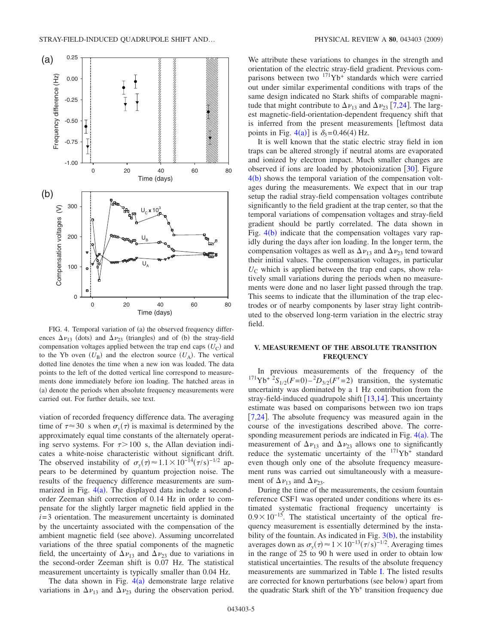<span id="page-4-0"></span>

FIG. 4. Temporal variation of (a) the observed frequency differences  $\Delta \nu_{13}$  (dots) and  $\Delta \nu_{23}$  (triangles) and of (b) the stray-field compensation voltages applied between the trap end caps  $(U_C)$  and to the Yb oven  $(U_B)$  and the electron source  $(U_A)$ . The vertical dotted line denotes the time when a new ion was loaded. The data points to the left of the dotted vertical line correspond to measurements done immediately before ion loading. The hatched areas in (a) denote the periods when absolute frequency measurements were carried out. For further details, see text.

viation of recorded frequency difference data. The averaging time of  $\tau \approx 30$  s when  $\sigma_y(\tau)$  is maximal is determined by the approximately equal time constants of the alternately operating servo systems. For  $\tau > 100$  s, the Allan deviation indicates a white-noise characteristic without significant drift. The observed instability of  $\sigma_y(\tau) \approx 1.1 \times 10^{-14} (\tau/s)^{-1/2}$  appears to be determined by quantum projection noise. The results of the frequency difference measurements are summarized in Fig.  $4(a)$  $4(a)$ . The displayed data include a secondorder Zeeman shift correction of 0.14 Hz in order to compensate for the slightly larger magnetic field applied in the  $i=3$  orientation. The measurement uncertainty is dominated by the uncertainty associated with the compensation of the ambient magnetic field (see above). Assuming uncorrelated variations of the three spatial components of the magnetic field, the uncertainty of  $\Delta \nu_{13}$  and  $\Delta \nu_{23}$  due to variations in the second-order Zeeman shift is 0.07 Hz. The statistical measurement uncertainty is typically smaller than 0.04 Hz.

The data shown in Fig.  $4(a)$  $4(a)$  demonstrate large relative variations in  $\Delta \nu_{13}$  and  $\Delta \nu_{23}$  during the observation period. We attribute these variations to changes in the strength and orientation of the electric stray-field gradient. Previous comparisons between two  $171\text{Yb}^+$  standards which were carried out under similar experimental conditions with traps of the same design indicated no Stark shifts of comparable magnitude that might contribute to  $\Delta \nu_{13}$  and  $\Delta \nu_{23}$  [[7](#page-6-6)[,24](#page-6-23)]. The largest magnetic-field-orientation-dependent frequency shift that is inferred from the present measurements [leftmost data points in Fig. [4](#page-4-0)(a)] is  $\delta_3 = 0.46(4)$  Hz.

It is well known that the static electric stray field in ion traps can be altered strongly if neutral atoms are evaporated and ionized by electron impact. Much smaller changes are observed if ions are loaded by photoionization  $[30]$  $[30]$  $[30]$ . Figure  $4(b)$  $4(b)$  shows the temporal variation of the compensation voltages during the measurements. We expect that in our trap setup the radial stray-field compensation voltages contribute significantly to the field gradient at the trap center, so that the temporal variations of compensation voltages and stray-field gradient should be partly correlated. The data shown in Fig.  $4(b)$  $4(b)$  indicate that the compensation voltages vary rapidly during the days after ion loading. In the longer term, the compensation voltages as well as  $\Delta \nu_{13}$  and  $\Delta \nu_{23}$  tend toward their initial values. The compensation voltages, in particular  $U_{\rm C}$  which is applied between the trap end caps, show relatively small variations during the periods when no measurements were done and no laser light passed through the trap. This seems to indicate that the illumination of the trap electrodes or of nearby components by laser stray light contributed to the observed long-term variation in the electric stray field.

### **V. MEASUREMENT OF THE ABSOLUTE TRANSITION FREQUENCY**

In previous measurements of the frequency of the  $^{171}Yb^{+2}S_{1/2}(F=0) - ^2D_{3/2}(F'=2)$  transition, the systematic uncertainty was dominated by a 1 Hz contribution from the stray-field-induced quadrupole shift  $\lceil 13,14 \rceil$  $\lceil 13,14 \rceil$  $\lceil 13,14 \rceil$  $\lceil 13,14 \rceil$ . This uncertainty estimate was based on comparisons between two ion traps [ $7,24$  $7,24$ ]. The absolute frequency was measured again in the course of the investigations described above. The corresponding measurement periods are indicated in Fig.  $4(a)$  $4(a)$ . The measurement of  $\Delta \nu_{13}$  and  $\Delta \nu_{23}$  allows one to significantly reduce the systematic uncertainty of the  $171Yb<sup>+</sup>$  standard even though only one of the absolute frequency measurement runs was carried out simultaneously with a measurement of  $\Delta \nu_{13}$  and  $\Delta \nu_{23}$ .

During the time of the measurements, the cesium fountain reference CSF1 was operated under conditions where its estimated systematic fractional frequency uncertainty is  $0.9 \times 10^{-15}$ . The statistical uncertainty of the optical frequency measurement is essentially determined by the instability of the fountain. As indicated in Fig.  $3(b)$  $3(b)$ , the instability averages down as  $\sigma_y(\tau) \approx 1 \times 10^{-13} (\tau/s)^{-1/2}$ . Averaging times in the range of 25 to 90 h were used in order to obtain low statistical uncertainties. The results of the absolute frequency measurements are summarized in Table [I.](#page-5-0) The listed results are corrected for known perturbations (see below) apart from the quadratic Stark shift of the  $Yb<sup>+</sup>$  transition frequency due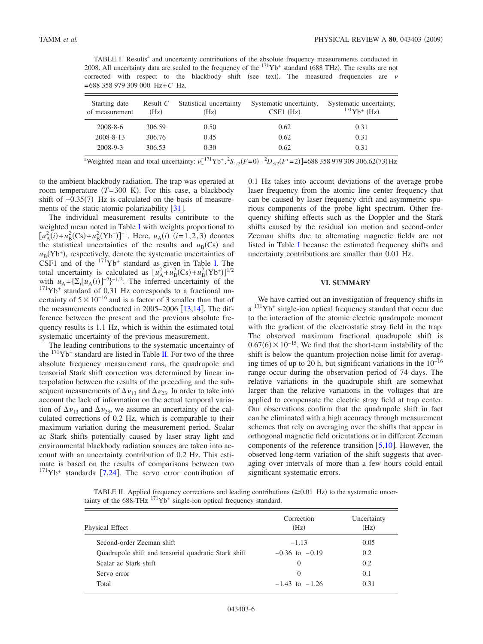<span id="page-5-0"></span>TABLE I. Results<sup>a</sup> and uncertainty contributions of the absolute frequency measurements conducted in 2008. All uncertainty data are scaled to the frequency of the  $^{171}Yb^+$  standard (688 THz). The results are not corrected with respect to the blackbody shift (see text). The measured frequencies are  $\nu$ = 688 358 979 309 000 Hz+*C* Hz.

| Starting date<br>of measurement | Result $C$<br>(H <sub>Z</sub> ) | Statistical uncertainty<br>(Hz) | Systematic uncertainty,<br>$CSF1$ (Hz) | Systematic uncertainty,<br>$171Yb+$ (Hz) |
|---------------------------------|---------------------------------|---------------------------------|----------------------------------------|------------------------------------------|
| $2008 - 8 - 6$                  | 306.59                          | 0.50                            | 0.62                                   | 0.31                                     |
| 2008-8-13                       | 306.76                          | 0.45                            | 0.62                                   | 0.31                                     |
| 2008-9-3                        | 306.53                          | 0.30                            | 0.62                                   | 0.31                                     |

<sup>a</sup>Weighted mean and total uncertainty:  $v[^{171}Yb^+, ^2S_{1/2}(F=0) - ^2D_{3/2}(F'=2)]=688358979309306.62(73) Hz$ 

to the ambient blackbody radiation. The trap was operated at room temperature  $(T=300 \text{ K})$ . For this case, a blackbody shift of  $-0.35(7)$  Hz is calculated on the basis of measurements of the static atomic polarizability  $\lceil 31 \rceil$  $\lceil 31 \rceil$  $\lceil 31 \rceil$ .

The individual measurement results contribute to the weighted mean noted in Table [I](#page-5-0) with weights proportional to  $[u_{A}^{2}(i) + u_{B}^{2}(Cs) + u_{B}^{2}(Yb^{+})]^{-1}$ . Here,  $u_{A}(i)$   $(i=1,2,3)$  denotes the statistical uncertainties of the results and  $u_B(Cs)$  and  $u_{\rm B}$ (Yb<sup>+</sup>), respectively, denote the systematic uncertainties of CSF1 and of the  $171\text{Yb}^+$  standard as given in Table [I.](#page-5-0) The total uncertainty is calculated as  $[u_A^2 + u_B^2(Cs) + u_B^2(Yb^+)]^{1/2}$ with  $u_A = \{\sum_i [u_A(i)]^{-2}\}^{-1/2}$ . The inferred uncertainty of the  $^{171}Yb$ <sup>+</sup> standard of 0.31 Hz corresponds to a fractional uncertainty of  $5\times10^{-16}$  and is a factor of 3 smaller than that of the measurements conducted in  $2005-2006$   $[13,14]$  $[13,14]$  $[13,14]$  $[13,14]$ . The difference between the present and the previous absolute frequency results is 1.1 Hz, which is within the estimated total systematic uncertainty of the previous measurement.

The leading contributions to the systematic uncertainty of the  $171Yb<sup>+</sup>$  standard are listed in Table [II.](#page-5-1) For two of the three absolute frequency measurement runs, the quadrupole and tensorial Stark shift correction was determined by linear interpolation between the results of the preceding and the subsequent measurements of  $\Delta \nu_{13}$  and  $\Delta \nu_{23}$ . In order to take into account the lack of information on the actual temporal variation of  $\Delta \nu_{13}$  and  $\Delta \nu_{23}$ , we assume an uncertainty of the calculated corrections of 0.2 Hz, which is comparable to their maximum variation during the measurement period. Scalar ac Stark shifts potentially caused by laser stray light and environmental blackbody radiation sources are taken into account with an uncertainty contribution of 0.2 Hz. This estimate is based on the results of comparisons between two  $171Yb$  $171Yb$  $171Yb$ <sup>+</sup> standards [7[,24](#page-6-23)]. The servo error contribution of 0.1 Hz takes into account deviations of the average probe laser frequency from the atomic line center frequency that can be caused by laser frequency drift and asymmetric spurious components of the probe light spectrum. Other frequency shifting effects such as the Doppler and the Stark shifts caused by the residual ion motion and second-order Zeeman shifts due to alternating magnetic fields are not listed in Table [I](#page-5-0) because the estimated frequency shifts and uncertainty contributions are smaller than 0.01 Hz.

#### **VI. SUMMARY**

We have carried out an investigation of frequency shifts in  $a<sup>171</sup>Yb<sup>+</sup> single-ion optical frequency standard that occur due$ to the interaction of the atomic electric quadrupole moment with the gradient of the electrostatic stray field in the trap. The observed maximum fractional quadrupole shift is  $0.67(6) \times 10^{-15}$ . We find that the short-term instability of the shift is below the quantum projection noise limit for averaging times of up to 20 h, but significant variations in the 10−16 range occur during the observation period of 74 days. The relative variations in the quadrupole shift are somewhat larger than the relative variations in the voltages that are applied to compensate the electric stray field at trap center. Our observations confirm that the quadrupole shift in fact can be eliminated with a high accuracy through measurement schemes that rely on averaging over the shifts that appear in orthogonal magnetic field orientations or in different Zeeman components of the reference transition  $[5,10]$  $[5,10]$  $[5,10]$  $[5,10]$ . However, the observed long-term variation of the shift suggests that averaging over intervals of more than a few hours could entail significant systematic errors.

<span id="page-5-1"></span>TABLE II. Applied frequency corrections and leading contributions  $(\geq 0.01 \text{ Hz})$  to the systematic uncertainty of the  $688$ -THz  $\frac{171}{Yb}$ <sup>+</sup> single-ion optical frequency standard.

| Physical Effect                                      | Correction<br>(Hz) | Uncertainty<br>(Hz) |
|------------------------------------------------------|--------------------|---------------------|
| Second-order Zeeman shift                            | $-1.13$            | 0.05                |
| Quadrupole shift and tensorial quadratic Stark shift | $-0.36$ to $-0.19$ | 0.2                 |
| Scalar ac Stark shift                                | $\left( \right)$   | 0.2                 |
| Servo error                                          | $\left( \right)$   | 0.1                 |
| Total                                                | $-1.43$ to $-1.26$ | 0.31                |